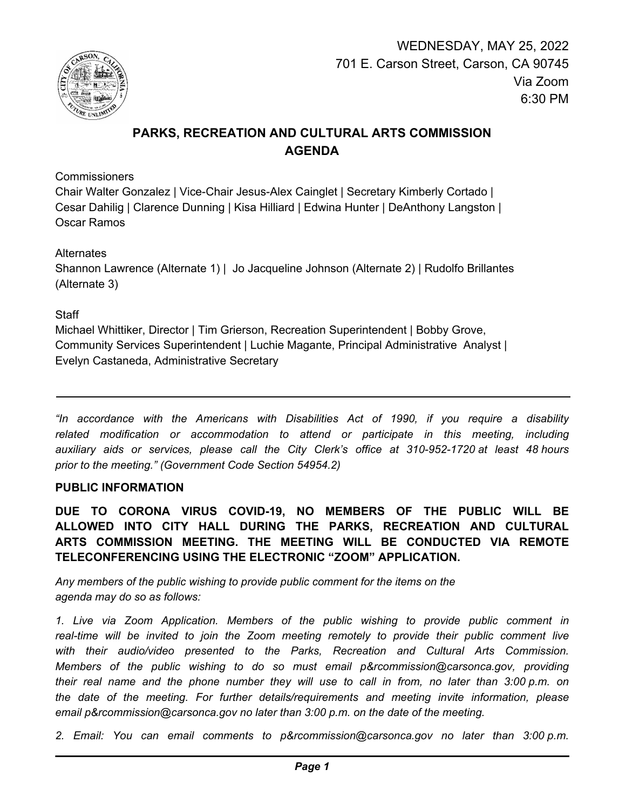

# **PARKS, RECREATION AND CULTURAL ARTS COMMISSION AGENDA**

**Commissioners** 

Chair Walter Gonzalez | Vice-Chair Jesus-Alex Cainglet | Secretary Kimberly Cortado | Cesar Dahilig | Clarence Dunning | Kisa Hilliard | Edwina Hunter | DeAnthony Langston | Oscar Ramos

**Alternates** 

Shannon Lawrence (Alternate 1) | Jo Jacqueline Johnson (Alternate 2) | Rudolfo Brillantes (Alternate 3)

# **Staff**

Michael Whittiker, Director | Tim Grierson, Recreation Superintendent | Bobby Grove, Community Services Superintendent | Luchie Magante, Principal Administrative Analyst | Evelyn Castaneda, Administrative Secretary

*"In accordance with the Americans with Disabilities Act of 1990, if you require a disability related modification or accommodation to attend or participate in this meeting, including auxiliary aids or services, please call the City Clerk's office at 310-952-1720 at least 48 hours prior to the meeting." (Government Code Section 54954.2)*

# **PUBLIC INFORMATION**

**DUE TO CORONA VIRUS COVID-19, NO MEMBERS OF THE PUBLIC WILL BE ALLOWED INTO CITY HALL DURING THE PARKS, RECREATION AND CULTURAL ARTS COMMISSION MEETING. THE MEETING WILL BE CONDUCTED VIA REMOTE TELECONFERENCING USING THE ELECTRONIC "ZOOM" APPLICATION.**

*Any members of the public wishing to provide public comment for the items on the agenda may do so as follows:*

*1. Live via Zoom Application. Members of the public wishing to provide public comment in*  real-time will be invited to join the Zoom meeting remotely to provide their public comment live with their audio/video presented to the Parks, Recreation and Cultural Arts Commission. *Members of the public wishing to do so must email p&rcommission@carsonca.gov, providing their real name and the phone number they will use to call in from, no later than 3:00 p.m. on the date of the meeting. For further details/requirements and meeting invite information, please email p&rcommission@carsonca.gov no later than 3:00 p.m. on the date of the meeting.*

*2. Email: You can email comments to p&rcommission@carsonca.gov no later than 3:00 p.m.*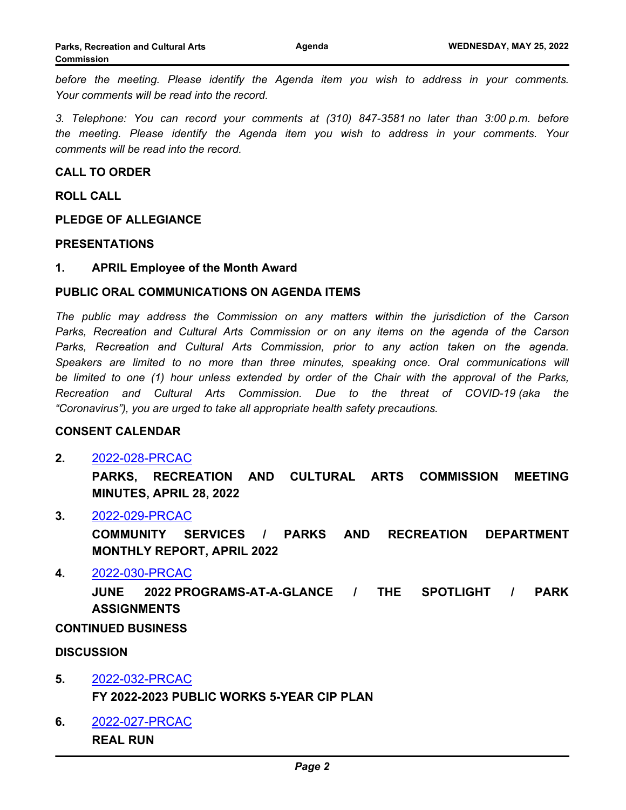*before the meeting. Please identify the Agenda item you wish to address in your comments. Your comments will be read into the record.*

*3. Telephone: You can record your comments at (310) 847-3581 no later than 3:00 p.m. before the meeting. Please identify the Agenda item you wish to address in your comments. Your comments will be read into the record.*

**CALL TO ORDER**

#### **ROLL CALL**

**PLEDGE OF ALLEGIANCE**

#### **PRESENTATIONS**

#### **1. APRIL Employee of the Month Award**

#### **PUBLIC ORAL COMMUNICATIONS ON AGENDA ITEMS**

*The public may address the Commission on any matters within the jurisdiction of the Carson Parks, Recreation and Cultural Arts Commission or on any items on the agenda of the Carson Parks, Recreation and Cultural Arts Commission, prior to any action taken on the agenda. Speakers are limited to no more than three minutes, speaking once. Oral communications will be limited to one (1) hour unless extended by order of the Chair with the approval of the Parks, Recreation and Cultural Arts Commission. Due to the threat of COVID-19 (aka the "Coronavirus"), you are urged to take all appropriate health safety precautions.*

#### **CONSENT CALENDAR**

## **2.** [2022-028-PRCAC](http://carson.legistar.com/gateway.aspx?m=l&id=/matter.aspx?key=10367)

**PARKS, RECREATION AND CULTURAL ARTS COMMISSION MEETING MINUTES, APRIL 28, 2022**

#### **3.** [2022-029-PRCAC](http://carson.legistar.com/gateway.aspx?m=l&id=/matter.aspx?key=10368)

**COMMUNITY SERVICES / PARKS AND RECREATION DEPARTMENT MONTHLY REPORT, APRIL 2022**

#### **4.** [2022-030-PRCAC](http://carson.legistar.com/gateway.aspx?m=l&id=/matter.aspx?key=10369)

**JUNE 2022 PROGRAMS-AT-A-GLANCE / THE SPOTLIGHT / PARK ASSIGNMENTS**

#### **CONTINUED BUSINESS**

#### **DISCUSSION**

- **5.** [2022-032-PRCAC](http://carson.legistar.com/gateway.aspx?m=l&id=/matter.aspx?key=10390) **FY 2022-2023 PUBLIC WORKS 5-YEAR CIP PLAN**
- **6.** [2022-027-PRCAC](http://carson.legistar.com/gateway.aspx?m=l&id=/matter.aspx?key=10366) **REAL RUN**